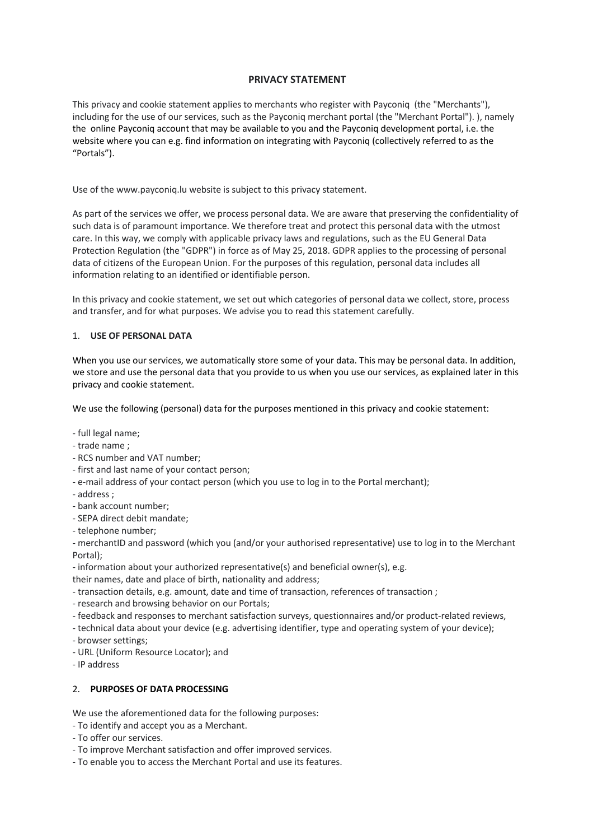## **PRIVACY STATEMENT**

This privacy and cookie statement applies to merchants who register with Payconiq (the "Merchants"), including for the use of our services, such as the Payconiq merchant portal (the "Merchant Portal"). ), namely the online Payconiq account that may be available to you and the Payconiq development portal, i.e. the website where you can e.g. find information on integrating with Payconiq (collectively referred to as the "Portals").

Use of the www.payconiq.lu website is subject to this privacy statement.

As part of the services we offer, we process personal data. We are aware that preserving the confidentiality of such data is of paramount importance. We therefore treat and protect this personal data with the utmost care. In this way, we comply with applicable privacy laws and regulations, such as the EU General Data Protection Regulation (the "GDPR") in force as of May 25, 2018. GDPR applies to the processing of personal data of citizens of the European Union. For the purposes of this regulation, personal data includes all information relating to an identified or identifiable person.

In this privacy and cookie statement, we set out which categories of personal data we collect, store, process and transfer, and for what purposes. We advise you to read this statement carefully.

### 1. **USE OF PERSONAL DATA**

When you use our services, we automatically store some of your data. This may be personal data. In addition, we store and use the personal data that you provide to us when you use our services, as explained later in this privacy and cookie statement.

We use the following (personal) data for the purposes mentioned in this privacy and cookie statement:

- full legal name;
- trade name ;
- RCS number and VAT number;
- first and last name of your contact person;
- e-mail address of your contact person (which you use to log in to the Portal merchant);
- address ;
- bank account number;
- SEPA direct debit mandate;
- telephone number;

- merchantID and password (which you (and/or your authorised representative) use to log in to the Merchant Portal);

- information about your authorized representative(s) and beneficial owner(s), e.g.

their names, date and place of birth, nationality and address;

- transaction details, e.g. amount, date and time of transaction, references of transaction ;

- research and browsing behavior on our Portals;

- feedback and responses to merchant satisfaction surveys, questionnaires and/or product-related reviews,

- technical data about your device (e.g. advertising identifier, type and operating system of your device);

- browser settings;
- URL (Uniform Resource Locator); and
- IP address

### 2. **PURPOSES OF DATA PROCESSING**

We use the aforementioned data for the following purposes:

- To identify and accept you as a Merchant.
- To offer our services.
- To improve Merchant satisfaction and offer improved services.
- To enable you to access the Merchant Portal and use its features.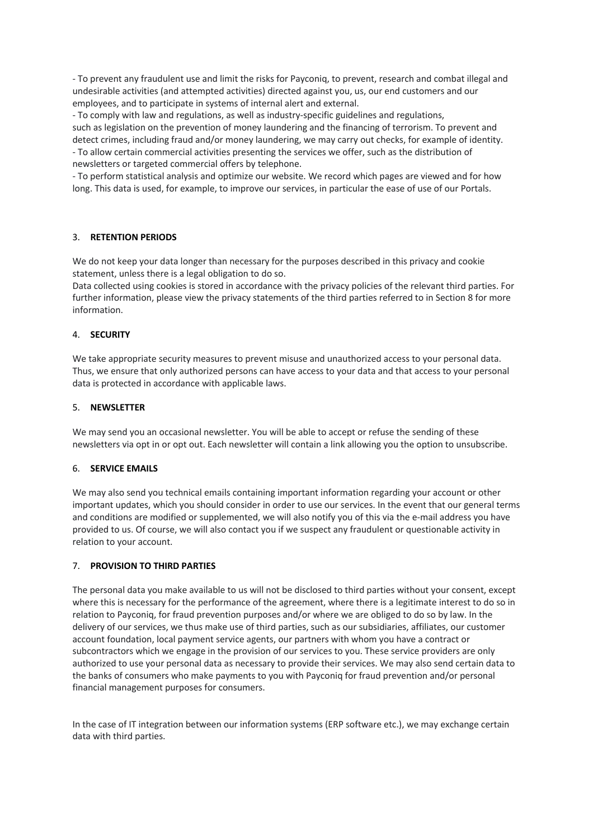- To prevent any fraudulent use and limit the risks for Payconiq, to prevent, research and combat illegal and undesirable activities (and attempted activities) directed against you, us, our end customers and our employees, and to participate in systems of internal alert and external.

- To comply with law and regulations, as well as industry-specific guidelines and regulations, such as legislation on the prevention of money laundering and the financing of terrorism. To prevent and detect crimes, including fraud and/or money laundering, we may carry out checks, for example of identity. - To allow certain commercial activities presenting the services we offer, such as the distribution of newsletters or targeted commercial offers by telephone.

- To perform statistical analysis and optimize our website. We record which pages are viewed and for how long. This data is used, for example, to improve our services, in particular the ease of use of our Portals.

# 3. **RETENTION PERIODS**

We do not keep your data longer than necessary for the purposes described in this privacy and cookie statement, unless there is a legal obligation to do so.

Data collected using cookies is stored in accordance with the privacy policies of the relevant third parties. For further information, please view the privacy statements of the third parties referred to in Section 8 for more information.

### 4. **SECURITY**

We take appropriate security measures to prevent misuse and unauthorized access to your personal data. Thus, we ensure that only authorized persons can have access to your data and that access to your personal data is protected in accordance with applicable laws.

### 5. **NEWSLETTER**

We may send you an occasional newsletter. You will be able to accept or refuse the sending of these newsletters via opt in or opt out. Each newsletter will contain a link allowing you the option to unsubscribe.

### 6. **SERVICE EMAILS**

We may also send you technical emails containing important information regarding your account or other important updates, which you should consider in order to use our services. In the event that our general terms and conditions are modified or supplemented, we will also notify you of this via the e-mail address you have provided to us. Of course, we will also contact you if we suspect any fraudulent or questionable activity in relation to your account.

### 7. **PROVISION TO THIRD PARTIES**

The personal data you make available to us will not be disclosed to third parties without your consent, except where this is necessary for the performance of the agreement, where there is a legitimate interest to do so in relation to Payconiq, for fraud prevention purposes and/or where we are obliged to do so by law. In the delivery of our services, we thus make use of third parties, such as our subsidiaries, affiliates, our customer account foundation, local payment service agents, our partners with whom you have a contract or subcontractors which we engage in the provision of our services to you. These service providers are only authorized to use your personal data as necessary to provide their services. We may also send certain data to the banks of consumers who make payments to you with Payconiq for fraud prevention and/or personal financial management purposes for consumers.

In the case of IT integration between our information systems (ERP software etc.), we may exchange certain data with third parties.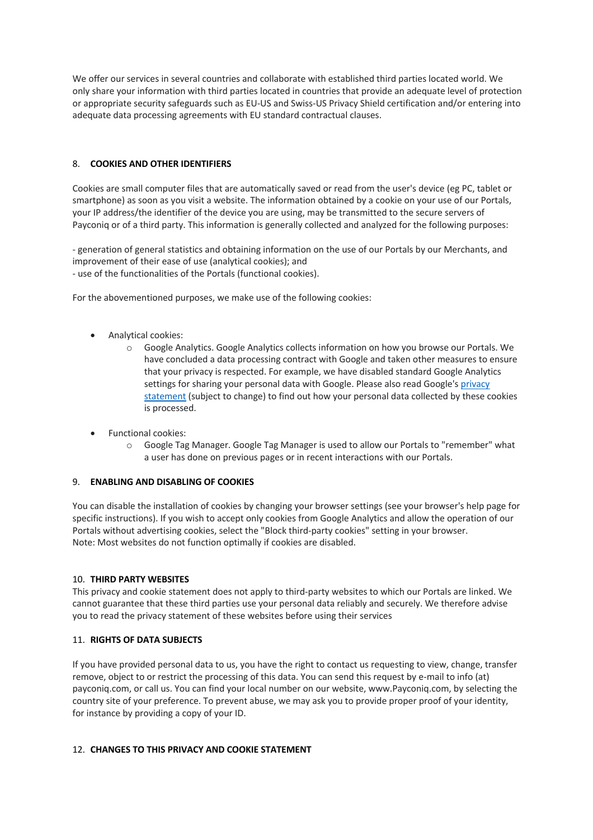We offer our services in several countries and collaborate with established third parties located world. We only share your information with third parties located in countries that provide an adequate level of protection or appropriate security safeguards such as EU-US and Swiss-US Privacy Shield certification and/or entering into adequate data processing agreements with EU standard contractual clauses.

# 8. **COOKIES AND OTHER IDENTIFIERS**

Cookies are small computer files that are automatically saved or read from the user's device (eg PC, tablet or smartphone) as soon as you visit a website. The information obtained by a cookie on your use of our Portals, your IP address/the identifier of the device you are using, may be transmitted to the secure servers of Payconiq or of a third party. This information is generally collected and analyzed for the following purposes:

- generation of general statistics and obtaining information on the use of our Portals by our Merchants, and improvement of their ease of use (analytical cookies); and

- use of the functionalities of the Portals (functional cookies).

For the abovementioned purposes, we make use of the following cookies:

- Analytical cookies:
	- o Google Analytics. Google Analytics collects information on how you browse our Portals. We have concluded a data processing contract with Google and taken other measures to ensure that your privacy is respected. For example, we have disabled standard Google Analytics settings for sharing your personal data with Google. Please also read Google's privacy statement (subject to change) to find out how your personal data collected by these cookies is processed.
- Functional cookies:
	- o Google Tag Manager. Google Tag Manager is used to allow our Portals to "remember" what a user has done on previous pages or in recent interactions with our Portals.

### 9. **ENABLING AND DISABLING OF COOKIES**

You can disable the installation of cookies by changing your browser settings (see your browser's help page for specific instructions). If you wish to accept only cookies from Google Analytics and allow the operation of our Portals without advertising cookies, select the "Block third-party cookies" setting in your browser. Note: Most websites do not function optimally if cookies are disabled.

### 10. **THIRD PARTY WEBSITES**

This privacy and cookie statement does not apply to third-party websites to which our Portals are linked. We cannot guarantee that these third parties use your personal data reliably and securely. We therefore advise you to read the privacy statement of these websites before using their services

### 11. **RIGHTS OF DATA SUBJECTS**

If you have provided personal data to us, you have the right to contact us requesting to view, change, transfer remove, object to or restrict the processing of this data. You can send this request by e-mail to info (at) payconiq.com, or call us. You can find your local number on our website, www.Payconiq.com, by selecting the country site of your preference. To prevent abuse, we may ask you to provide proper proof of your identity, for instance by providing a copy of your ID.

### 12. **CHANGES TO THIS PRIVACY AND COOKIE STATEMENT**